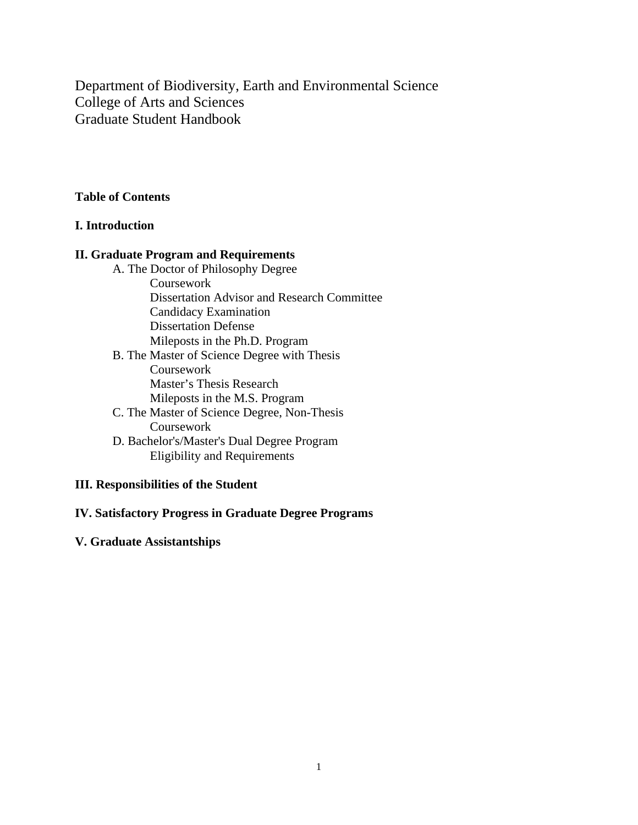Department of Biodiversity, Earth and Environmental Science College of Arts and Sciences Graduate Student Handbook

# **Table of Contents**

#### **I. Introduction**

#### **II. Graduate Program and Requirements**

A. The Doctor of Philosophy Degree Coursework Dissertation Advisor and Research Committee Candidacy Examination Dissertation Defense Mileposts in the Ph.D. Program B. The Master of Science Degree with Thesis Coursework Master's Thesis Research Mileposts in the M.S. Program C. The Master of Science Degree, Non-Thesis Coursework D. Bachelor's/Master's Dual Degree Program Eligibility and Requirements

# **III. Responsibilities of the Student**

# **IV. Satisfactory Progress in Graduate Degree Programs**

# **V. Graduate Assistantships**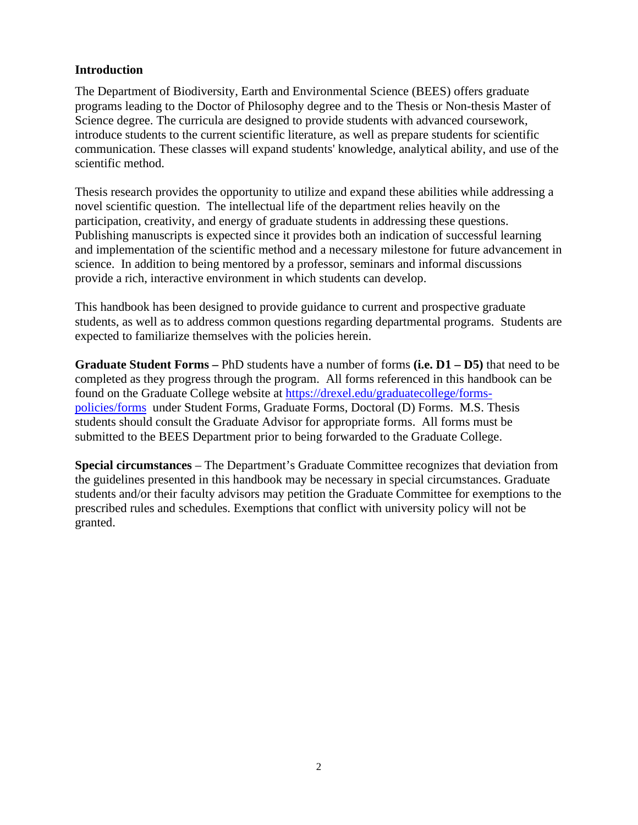# **Introduction**

The Department of Biodiversity, Earth and Environmental Science (BEES) offers graduate programs leading to the Doctor of Philosophy degree and to the Thesis or Non-thesis Master of Science degree. The curricula are designed to provide students with advanced coursework, introduce students to the current scientific literature, as well as prepare students for scientific communication. These classes will expand students' knowledge, analytical ability, and use of the scientific method.

Thesis research provides the opportunity to utilize and expand these abilities while addressing a novel scientific question. The intellectual life of the department relies heavily on the participation, creativity, and energy of graduate students in addressing these questions. Publishing manuscripts is expected since it provides both an indication of successful learning and implementation of the scientific method and a necessary milestone for future advancement in science. In addition to being mentored by a professor, seminars and informal discussions provide a rich, interactive environment in which students can develop.

This handbook has been designed to provide guidance to current and prospective graduate students, as well as to address common questions regarding departmental programs. Students are expected to familiarize themselves with the policies herein.

**Graduate Student Forms –** PhD students have a number of forms **(i.e. D1 – D5)** that need to be completed as they progress through the program. All forms referenced in this handbook can be found on the Graduate College website at [https://drexel.edu/graduatecollege/forms](https://drexel.edu/graduatecollege/forms-policies/forms)[policies/forms](https://drexel.edu/graduatecollege/forms-policies/forms) under Student Forms, Graduate Forms, Doctoral (D) Forms. M.S. Thesis students should consult the Graduate Advisor for appropriate forms. All forms must be submitted to the BEES Department prior to being forwarded to the Graduate College.

**Special circumstances** – The Department's Graduate Committee recognizes that deviation from the guidelines presented in this handbook may be necessary in special circumstances. Graduate students and/or their faculty advisors may petition the Graduate Committee for exemptions to the prescribed rules and schedules. Exemptions that conflict with university policy will not be granted.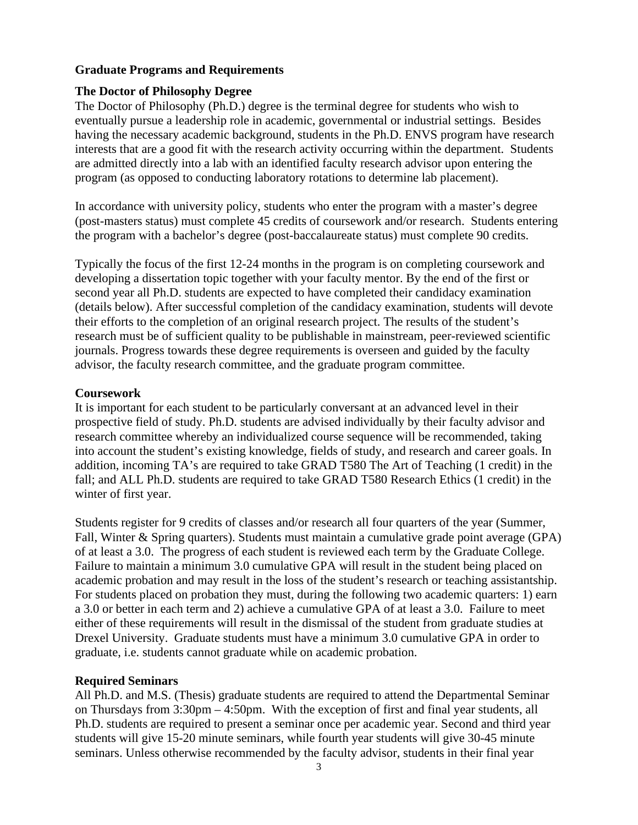# **Graduate Programs and Requirements**

# **The Doctor of Philosophy Degree**

The Doctor of Philosophy (Ph.D.) degree is the terminal degree for students who wish to eventually pursue a leadership role in academic, governmental or industrial settings. Besides having the necessary academic background, students in the Ph.D. ENVS program have research interests that are a good fit with the research activity occurring within the department. Students are admitted directly into a lab with an identified faculty research advisor upon entering the program (as opposed to conducting laboratory rotations to determine lab placement).

In accordance with university policy, students who enter the program with a master's degree (post-masters status) must complete 45 credits of coursework and/or research. Students entering the program with a bachelor's degree (post-baccalaureate status) must complete 90 credits.

Typically the focus of the first 12-24 months in the program is on completing coursework and developing a dissertation topic together with your faculty mentor. By the end of the first or second year all Ph.D. students are expected to have completed their candidacy examination (details below). After successful completion of the candidacy examination, students will devote their efforts to the completion of an original research project. The results of the student's research must be of sufficient quality to be publishable in mainstream, peer-reviewed scientific journals. Progress towards these degree requirements is overseen and guided by the faculty advisor, the faculty research committee, and the graduate program committee.

# **Coursework**

It is important for each student to be particularly conversant at an advanced level in their prospective field of study. Ph.D. students are advised individually by their faculty advisor and research committee whereby an individualized course sequence will be recommended, taking into account the student's existing knowledge, fields of study, and research and career goals. In addition, incoming TA's are required to take GRAD T580 The Art of Teaching (1 credit) in the fall; and ALL Ph.D. students are required to take GRAD T580 Research Ethics (1 credit) in the winter of first year.

Students register for 9 credits of classes and/or research all four quarters of the year (Summer, Fall, Winter & Spring quarters). Students must maintain a cumulative grade point average (GPA) of at least a 3.0. The progress of each student is reviewed each term by the Graduate College. Failure to maintain a minimum 3.0 cumulative GPA will result in the student being placed on academic probation and may result in the loss of the student's research or teaching assistantship. For students placed on probation they must, during the following two academic quarters: 1) earn a 3.0 or better in each term and 2) achieve a cumulative GPA of at least a 3.0. Failure to meet either of these requirements will result in the dismissal of the student from graduate studies at Drexel University. Graduate students must have a minimum 3.0 cumulative GPA in order to graduate, i.e. students cannot graduate while on academic probation.

#### **Required Seminars**

All Ph.D. and M.S. (Thesis) graduate students are required to attend the Departmental Seminar on Thursdays from 3:30pm – 4:50pm. With the exception of first and final year students, all Ph.D. students are required to present a seminar once per academic year. Second and third year students will give 15-20 minute seminars, while fourth year students will give 30-45 minute seminars. Unless otherwise recommended by the faculty advisor, students in their final year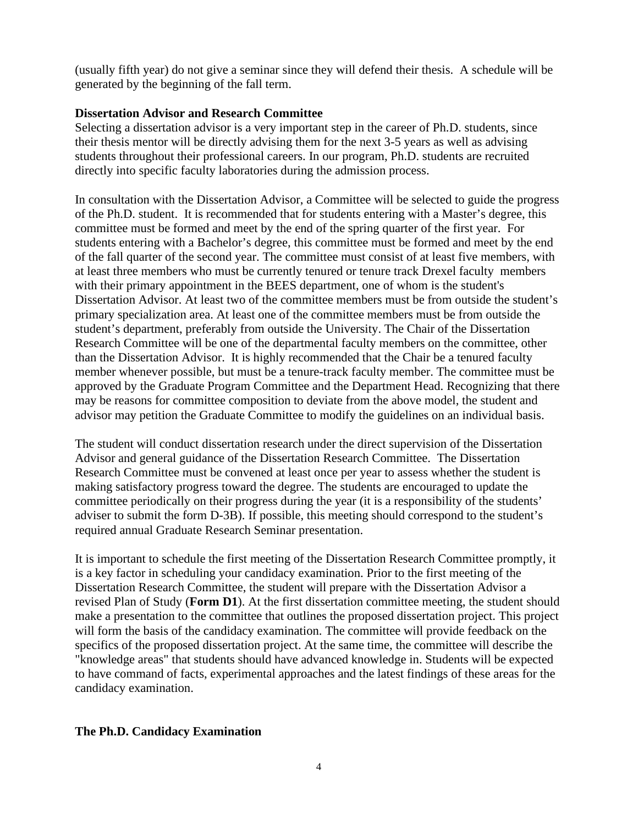(usually fifth year) do not give a seminar since they will defend their thesis.A schedule will be generated by the beginning of the fall term.

#### **Dissertation Advisor and Research Committee**

Selecting a dissertation advisor is a very important step in the career of Ph.D. students, since their thesis mentor will be directly advising them for the next 3-5 years as well as advising students throughout their professional careers. In our program, Ph.D. students are recruited directly into specific faculty laboratories during the admission process.

In consultation with the Dissertation Advisor, a Committee will be selected to guide the progress of the Ph.D. student. It is recommended that for students entering with a Master's degree, this committee must be formed and meet by the end of the spring quarter of the first year. For students entering with a Bachelor's degree, this committee must be formed and meet by the end of the fall quarter of the second year. The committee must consist of at least five members, with at least three members who must be currently tenured or tenure track Drexel faculty members with their primary appointment in the BEES department, one of whom is the student's Dissertation Advisor. At least two of the committee members must be from outside the student's primary specialization area. At least one of the committee members must be from outside the student's department, preferably from outside the University. The Chair of the Dissertation Research Committee will be one of the departmental faculty members on the committee, other than the Dissertation Advisor. It is highly recommended that the Chair be a tenured faculty member whenever possible, but must be a tenure-track faculty member. The committee must be approved by the Graduate Program Committee and the Department Head. Recognizing that there may be reasons for committee composition to deviate from the above model, the student and advisor may petition the Graduate Committee to modify the guidelines on an individual basis.

The student will conduct dissertation research under the direct supervision of the Dissertation Advisor and general guidance of the Dissertation Research Committee. The Dissertation Research Committee must be convened at least once per year to assess whether the student is making satisfactory progress toward the degree. The students are encouraged to update the committee periodically on their progress during the year (it is a responsibility of the students' adviser to submit the form D-3B). If possible, this meeting should correspond to the student's required annual Graduate Research Seminar presentation.

It is important to schedule the first meeting of the Dissertation Research Committee promptly, it is a key factor in scheduling your candidacy examination. Prior to the first meeting of the Dissertation Research Committee, the student will prepare with the Dissertation Advisor a revised Plan of Study (**Form D1**). At the first dissertation committee meeting, the student should make a presentation to the committee that outlines the proposed dissertation project. This project will form the basis of the candidacy examination. The committee will provide feedback on the specifics of the proposed dissertation project. At the same time, the committee will describe the "knowledge areas" that students should have advanced knowledge in. Students will be expected to have command of facts, experimental approaches and the latest findings of these areas for the candidacy examination.

#### **The Ph.D. Candidacy Examination**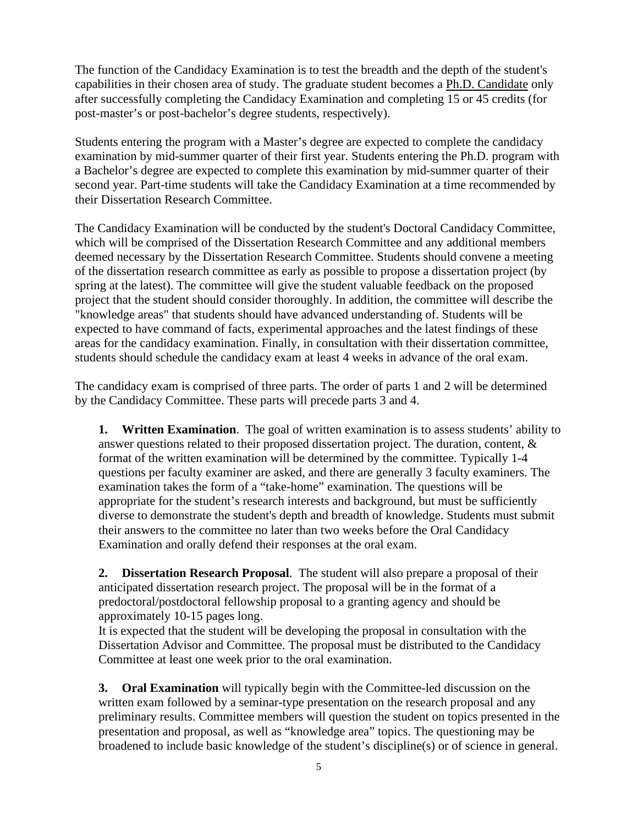The function of the Candidacy Examination is to test the breadth and the depth of the student's capabilities in their chosen area of study. The graduate student becomes a Ph.D. Candidate only after successfully completing the Candidacy Examination and completing 15 or 45 credits (for post-master's or post-bachelor's degree students, respectively).

Students entering the program with a Master's degree are expected to complete the candidacy examination by mid-summer quarter of their first year. Students entering the Ph.D. program with a Bachelor's degree are expected to complete this examination by mid-summer quarter of their second year. Part-time students will take the Candidacy Examination at a time recommended by their Dissertation Research Committee.

The Candidacy Examination will be conducted by the student's Doctoral Candidacy Committee, which will be comprised of the Dissertation Research Committee and any additional members deemed necessary by the Dissertation Research Committee. Students should convene a meeting of the dissertation research committee as early as possible to propose a dissertation project (by spring at the latest). The committee will give the student valuable feedback on the proposed project that the student should consider thoroughly. In addition, the committee will describe the "knowledge areas" that students should have advanced understanding of. Students will be expected to have command of facts, experimental approaches and the latest findings of these areas for the candidacy examination. Finally, in consultation with their dissertation committee, students should schedule the candidacy exam at least 4 weeks in advance of the oral exam.

The candidacy exam is comprised of three parts. The order of parts 1 and 2 will be determined by the Candidacy Committee. These parts will precede parts 3 and 4.

**1. Written Examination**. The goal of written examination is to assess students' ability to answer questions related to their proposed dissertation project. The duration, content, & format of the written examination will be determined by the committee. Typically 1-4 questions per faculty examiner are asked, and there are generally 3 faculty examiners. The examination takes the form of a "take-home" examination. The questions will be appropriate for the student's research interests and background, but must be sufficiently diverse to demonstrate the student's depth and breadth of knowledge. Students must submit their answers to the committee no later than two weeks before the Oral Candidacy Examination and orally defend their responses at the oral exam.

**2. Dissertation Research Proposal**. The student will also prepare a proposal of their anticipated dissertation research project. The proposal will be in the format of a predoctoral/postdoctoral fellowship proposal to a granting agency and should be approximately 10-15 pages long.

It is expected that the student will be developing the proposal in consultation with the Dissertation Advisor and Committee. The proposal must be distributed to the Candidacy Committee at least one week prior to the oral examination.

**3. Oral Examination** will typically begin with the Committee-led discussion on the written exam followed by a seminar-type presentation on the research proposal and any preliminary results. Committee members will question the student on topics presented in the presentation and proposal, as well as "knowledge area" topics. The questioning may be broadened to include basic knowledge of the student's discipline(s) or of science in general.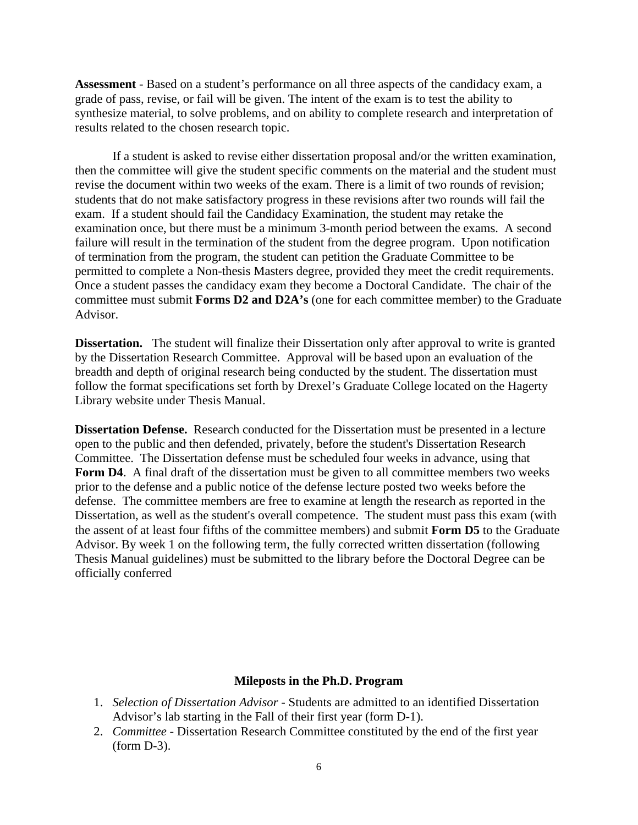**Assessment** - Based on a student's performance on all three aspects of the candidacy exam, a grade of pass, revise, or fail will be given. The intent of the exam is to test the ability to synthesize material, to solve problems, and on ability to complete research and interpretation of results related to the chosen research topic.

If a student is asked to revise either dissertation proposal and/or the written examination, then the committee will give the student specific comments on the material and the student must revise the document within two weeks of the exam. There is a limit of two rounds of revision; students that do not make satisfactory progress in these revisions after two rounds will fail the exam. If a student should fail the Candidacy Examination, the student may retake the examination once, but there must be a minimum 3-month period between the exams. A second failure will result in the termination of the student from the degree program. Upon notification of termination from the program, the student can petition the Graduate Committee to be permitted to complete a Non-thesis Masters degree, provided they meet the credit requirements. Once a student passes the candidacy exam they become a Doctoral Candidate. The chair of the committee must submit **Forms D2 and D2A's** (one for each committee member) to the Graduate Advisor.

**Dissertation.** The student will finalize their Dissertation only after approval to write is granted by the Dissertation Research Committee. Approval will be based upon an evaluation of the breadth and depth of original research being conducted by the student. The dissertation must follow the format specifications set forth by Drexel's Graduate College located on the Hagerty Library website under Thesis Manual.

**Dissertation Defense.** Research conducted for the Dissertation must be presented in a lecture open to the public and then defended, privately, before the student's Dissertation Research Committee. The Dissertation defense must be scheduled four weeks in advance, using that Form D4. A final draft of the dissertation must be given to all committee members two weeks prior to the defense and a public notice of the defense lecture posted two weeks before the defense. The committee members are free to examine at length the research as reported in the Dissertation, as well as the student's overall competence. The student must pass this exam (with the assent of at least four fifths of the committee members) and submit **Form D5** to the Graduate Advisor. By week 1 on the following term, the fully corrected written dissertation (following Thesis Manual guidelines) must be submitted to the library before the Doctoral Degree can be officially conferred

#### **Mileposts in the Ph.D. Program**

- 1. *Selection of Dissertation Advisor*  Students are admitted to an identified Dissertation Advisor's lab starting in the Fall of their first year (form D-1).
- 2. *Committee* Dissertation Research Committee constituted by the end of the first year (form D-3).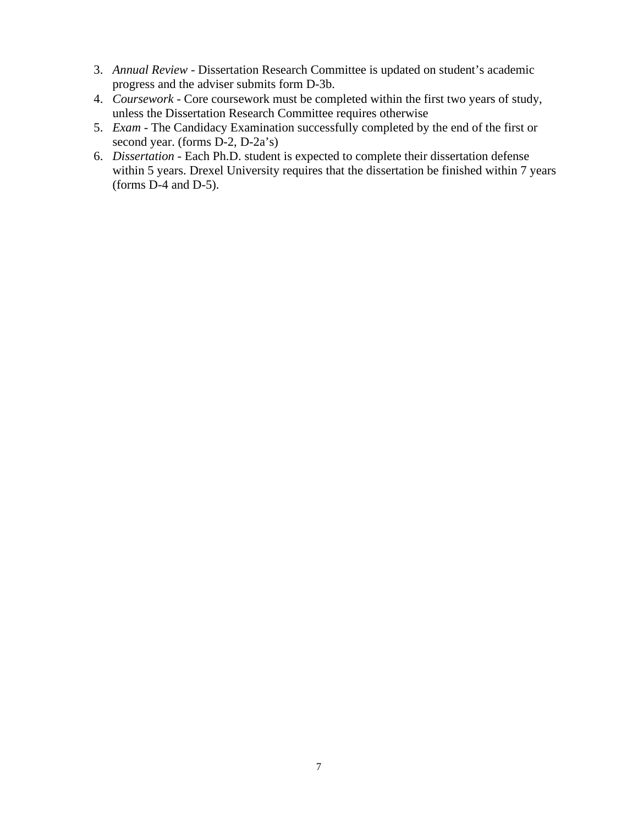- 3. *Annual Review*  Dissertation Research Committee is updated on student's academic progress and the adviser submits form D-3b.
- 4. *Coursework* Core coursework must be completed within the first two years of study, unless the Dissertation Research Committee requires otherwise
- 5. *Exam* The Candidacy Examination successfully completed by the end of the first or second year. (forms D-2, D-2a's)
- 6. *Dissertation* Each Ph.D. student is expected to complete their dissertation defense within 5 years. Drexel University requires that the dissertation be finished within 7 years (forms D-4 and D-5).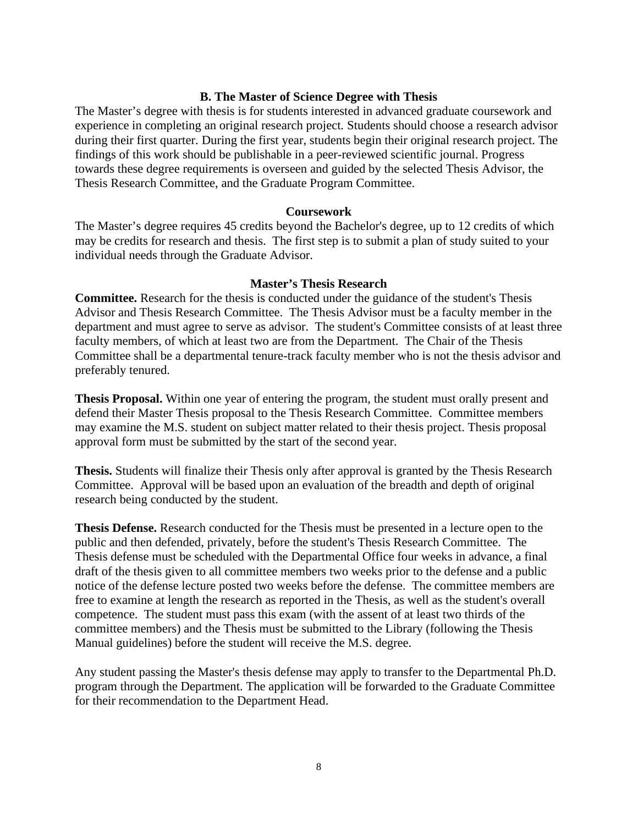#### **B. The Master of Science Degree with Thesis**

The Master's degree with thesis is for students interested in advanced graduate coursework and experience in completing an original research project*.* Students should choose a research advisor during their first quarter. During the first year, students begin their original research project. The findings of this work should be publishable in a peer-reviewed scientific journal. Progress towards these degree requirements is overseen and guided by the selected Thesis Advisor, the Thesis Research Committee, and the Graduate Program Committee.

#### **Coursework**

The Master's degree requires 45 credits beyond the Bachelor's degree, up to 12 credits of which may be credits for research and thesis. The first step is to submit a plan of study suited to your individual needs through the Graduate Advisor.

#### **Master's Thesis Research**

**Committee.** Research for the thesis is conducted under the guidance of the student's Thesis Advisor and Thesis Research Committee. The Thesis Advisor must be a faculty member in the department and must agree to serve as advisor. The student's Committee consists of at least three faculty members, of which at least two are from the Department. The Chair of the Thesis Committee shall be a departmental tenure-track faculty member who is not the thesis advisor and preferably tenured.

**Thesis Proposal.** Within one year of entering the program, the student must orally present and defend their Master Thesis proposal to the Thesis Research Committee. Committee members may examine the M.S. student on subject matter related to their thesis project. Thesis proposal approval form must be submitted by the start of the second year.

**Thesis.** Students will finalize their Thesis only after approval is granted by the Thesis Research Committee. Approval will be based upon an evaluation of the breadth and depth of original research being conducted by the student.

**Thesis Defense.** Research conducted for the Thesis must be presented in a lecture open to the public and then defended, privately, before the student's Thesis Research Committee. The Thesis defense must be scheduled with the Departmental Office four weeks in advance, a final draft of the thesis given to all committee members two weeks prior to the defense and a public notice of the defense lecture posted two weeks before the defense. The committee members are free to examine at length the research as reported in the Thesis, as well as the student's overall competence. The student must pass this exam (with the assent of at least two thirds of the committee members) and the Thesis must be submitted to the Library (following the Thesis Manual guidelines) before the student will receive the M.S. degree.

Any student passing the Master's thesis defense may apply to transfer to the Departmental Ph.D. program through the Department. The application will be forwarded to the Graduate Committee for their recommendation to the Department Head.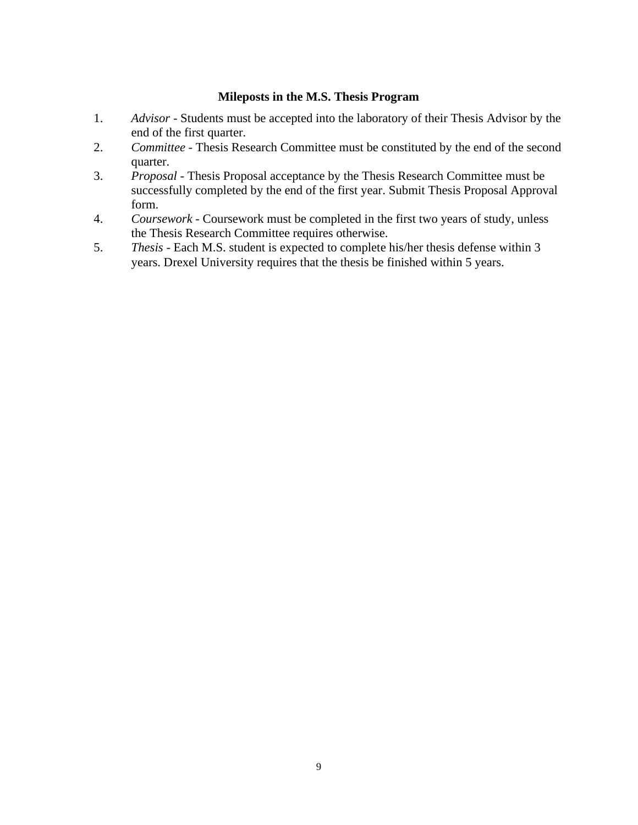#### **Mileposts in the M.S. Thesis Program**

- 1. *Advisor -* Students must be accepted into the laboratory of their Thesis Advisor by the end of the first quarter.
- 2. *Committee -* Thesis Research Committee must be constituted by the end of the second quarter.
- 3. *Proposal -* Thesis Proposal acceptance by the Thesis Research Committee must be successfully completed by the end of the first year. Submit Thesis Proposal Approval form.
- 4. *Coursework -* Coursework must be completed in the first two years of study, unless the Thesis Research Committee requires otherwise.
- 5. *Thesis -* Each M.S. student is expected to complete his/her thesis defense within 3 years. Drexel University requires that the thesis be finished within 5 years.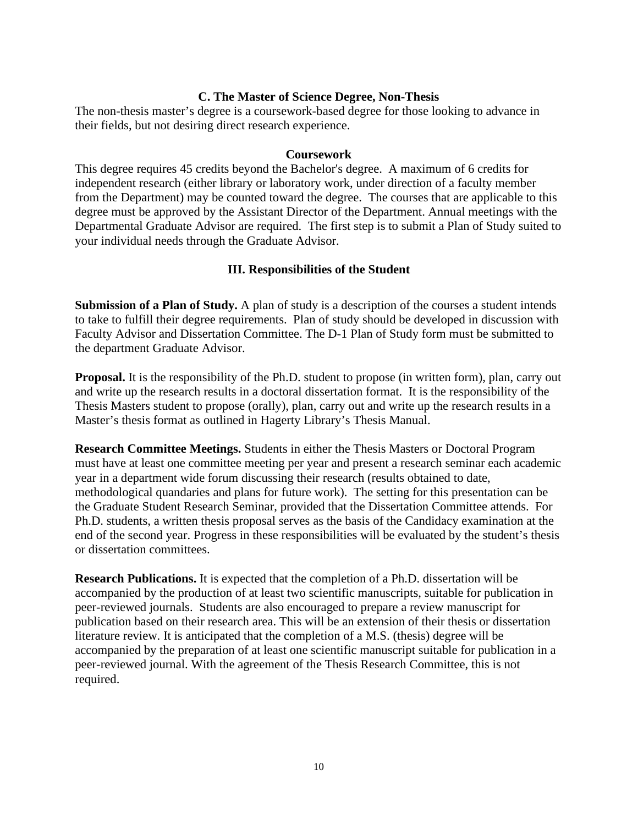# **C. The Master of Science Degree, Non-Thesis**

The non-thesis master's degree is a coursework-based degree for those looking to advance in their fields, but not desiring direct research experience.

#### **Coursework**

This degree requires 45 credits beyond the Bachelor's degree. A maximum of 6 credits for independent research (either library or laboratory work, under direction of a faculty member from the Department) may be counted toward the degree. The courses that are applicable to this degree must be approved by the Assistant Director of the Department. Annual meetings with the Departmental Graduate Advisor are required. The first step is to submit a Plan of Study suited to your individual needs through the Graduate Advisor.

# **III. Responsibilities of the Student**

**Submission of a Plan of Study.** A plan of study is a description of the courses a student intends to take to fulfill their degree requirements. Plan of study should be developed in discussion with Faculty Advisor and Dissertation Committee. The D-1 Plan of Study form must be submitted to the department Graduate Advisor.

**Proposal.** It is the responsibility of the Ph.D. student to propose (in written form), plan, carry out and write up the research results in a doctoral dissertation format. It is the responsibility of the Thesis Masters student to propose (orally), plan, carry out and write up the research results in a Master's thesis format as outlined in Hagerty Library's Thesis Manual.

**Research Committee Meetings.** Students in either the Thesis Masters or Doctoral Program must have at least one committee meeting per year and present a research seminar each academic year in a department wide forum discussing their research (results obtained to date, methodological quandaries and plans for future work). The setting for this presentation can be the Graduate Student Research Seminar, provided that the Dissertation Committee attends. For Ph.D. students, a written thesis proposal serves as the basis of the Candidacy examination at the end of the second year. Progress in these responsibilities will be evaluated by the student's thesis or dissertation committees.

**Research Publications.** It is expected that the completion of a Ph.D. dissertation will be accompanied by the production of at least two scientific manuscripts, suitable for publication in peer-reviewed journals. Students are also encouraged to prepare a review manuscript for publication based on their research area. This will be an extension of their thesis or dissertation literature review. It is anticipated that the completion of a M.S. (thesis) degree will be accompanied by the preparation of at least one scientific manuscript suitable for publication in a peer-reviewed journal. With the agreement of the Thesis Research Committee, this is not required.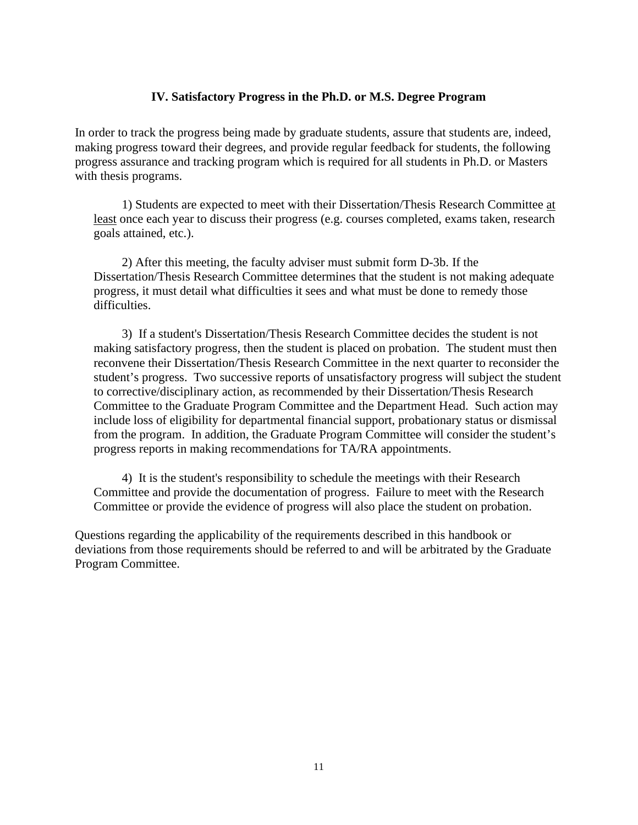#### **IV. Satisfactory Progress in the Ph.D. or M.S. Degree Program**

In order to track the progress being made by graduate students, assure that students are, indeed, making progress toward their degrees, and provide regular feedback for students, the following progress assurance and tracking program which is required for all students in Ph.D. or Masters with thesis programs.

1) Students are expected to meet with their Dissertation/Thesis Research Committee at least once each year to discuss their progress (e.g. courses completed, exams taken, research goals attained, etc.).

2) After this meeting, the faculty adviser must submit form D-3b. If the Dissertation/Thesis Research Committee determines that the student is not making adequate progress, it must detail what difficulties it sees and what must be done to remedy those difficulties.

3) If a student's Dissertation/Thesis Research Committee decides the student is not making satisfactory progress, then the student is placed on probation. The student must then reconvene their Dissertation/Thesis Research Committee in the next quarter to reconsider the student's progress. Two successive reports of unsatisfactory progress will subject the student to corrective/disciplinary action, as recommended by their Dissertation/Thesis Research Committee to the Graduate Program Committee and the Department Head. Such action may include loss of eligibility for departmental financial support, probationary status or dismissal from the program. In addition, the Graduate Program Committee will consider the student's progress reports in making recommendations for TA/RA appointments.

4) It is the student's responsibility to schedule the meetings with their Research Committee and provide the documentation of progress. Failure to meet with the Research Committee or provide the evidence of progress will also place the student on probation.

Questions regarding the applicability of the requirements described in this handbook or deviations from those requirements should be referred to and will be arbitrated by the Graduate Program Committee.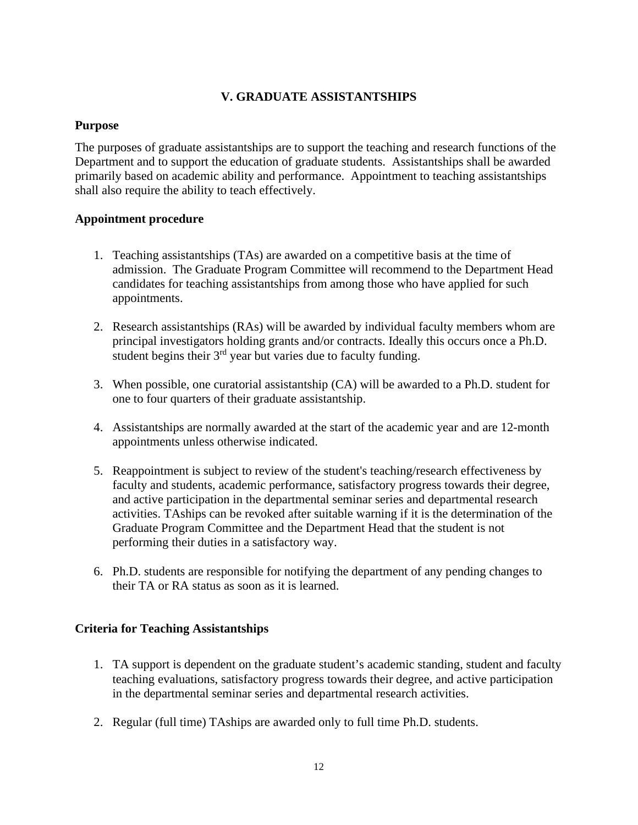# **V. GRADUATE ASSISTANTSHIPS**

# **Purpose**

The purposes of graduate assistantships are to support the teaching and research functions of the Department and to support the education of graduate students. Assistantships shall be awarded primarily based on academic ability and performance. Appointment to teaching assistantships shall also require the ability to teach effectively.

# **Appointment procedure**

- 1. Teaching assistantships (TAs) are awarded on a competitive basis at the time of admission. The Graduate Program Committee will recommend to the Department Head candidates for teaching assistantships from among those who have applied for such appointments.
- 2. Research assistantships (RAs) will be awarded by individual faculty members whom are principal investigators holding grants and/or contracts. Ideally this occurs once a Ph.D. student begins their 3<sup>rd</sup> year but varies due to faculty funding.
- 3. When possible, one curatorial assistantship (CA) will be awarded to a Ph.D. student for one to four quarters of their graduate assistantship.
- 4. Assistantships are normally awarded at the start of the academic year and are 12-month appointments unless otherwise indicated.
- 5. Reappointment is subject to review of the student's teaching/research effectiveness by faculty and students, academic performance, satisfactory progress towards their degree, and active participation in the departmental seminar series and departmental research activities. TAships can be revoked after suitable warning if it is the determination of the Graduate Program Committee and the Department Head that the student is not performing their duties in a satisfactory way.
- 6. Ph.D. students are responsible for notifying the department of any pending changes to their TA or RA status as soon as it is learned.

# **Criteria for Teaching Assistantships**

- 1. TA support is dependent on the graduate student's academic standing, student and faculty teaching evaluations, satisfactory progress towards their degree, and active participation in the departmental seminar series and departmental research activities.
- 2. Regular (full time) TAships are awarded only to full time Ph.D. students.